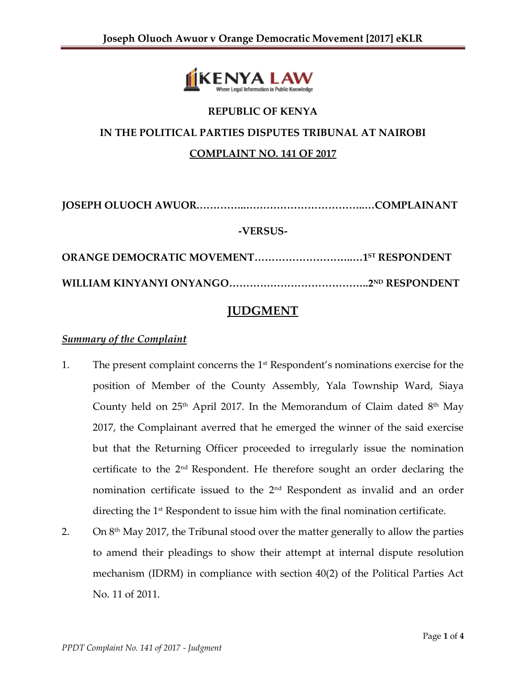

# **REPUBLIC OF KENYA IN THE POLITICAL PARTIES DISPUTES TRIBUNAL AT NAIROBI COMPLAINT NO. 141 OF 2017**

**JOSEPH OLUOCH AWUOR.…………..……………………………..…COMPLAINANT -VERSUS-**

**ORANGE DEMOCRATIC MOVEMENT………………………..…1 ST RESPONDENT WILLIAM KINYANYI ONYANGO…………………………………..2ND RESPONDENT** 

## **JUDGMENT**

### *Summary of the Complaint*

- 1. The present complaint concerns the  $1<sup>st</sup>$  Respondent's nominations exercise for the position of Member of the County Assembly, Yala Township Ward, Siaya County held on  $25<sup>th</sup>$  April 2017. In the Memorandum of Claim dated  $8<sup>th</sup>$  May 2017, the Complainant averred that he emerged the winner of the said exercise but that the Returning Officer proceeded to irregularly issue the nomination certificate to the 2nd Respondent. He therefore sought an order declaring the nomination certificate issued to the  $2<sup>nd</sup>$  Respondent as invalid and an order directing the 1<sup>st</sup> Respondent to issue him with the final nomination certificate.
- 2. On  $8<sup>th</sup>$  May 2017, the Tribunal stood over the matter generally to allow the parties to amend their pleadings to show their attempt at internal dispute resolution mechanism (IDRM) in compliance with section 40(2) of the Political Parties Act No. 11 of 2011.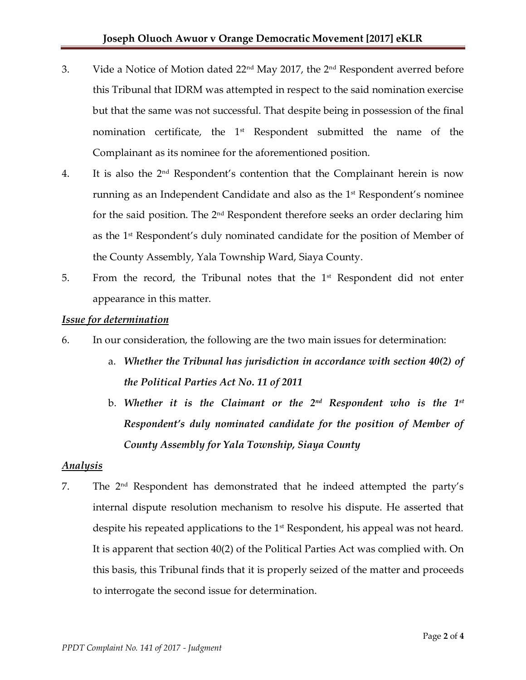- 3. Vide a Notice of Motion dated 22<sup>nd</sup> May 2017, the 2<sup>nd</sup> Respondent averred before this Tribunal that IDRM was attempted in respect to the said nomination exercise but that the same was not successful. That despite being in possession of the final nomination certificate, the  $1<sup>st</sup>$  Respondent submitted the name of the Complainant as its nominee for the aforementioned position.
- 4. It is also the  $2<sup>nd</sup>$  Respondent's contention that the Complainant herein is now running as an Independent Candidate and also as the 1<sup>st</sup> Respondent's nominee for the said position. The 2nd Respondent therefore seeks an order declaring him as the 1 st Respondent's duly nominated candidate for the position of Member of the County Assembly, Yala Township Ward, Siaya County.
- 5. From the record, the Tribunal notes that the  $1<sup>st</sup>$  Respondent did not enter appearance in this matter.

#### *Issue for determination*

- 6. In our consideration, the following are the two main issues for determination:
	- a. *Whether the Tribunal has jurisdiction in accordance with section 40(2) of the Political Parties Act No. 11 of 2011*
	- b. *Whether it is the Claimant or the 2nd Respondent who is the 1 st Respondent's duly nominated candidate for the position of Member of County Assembly for Yala Township, Siaya County*

### *Analysis*

7. The 2nd Respondent has demonstrated that he indeed attempted the party's internal dispute resolution mechanism to resolve his dispute. He asserted that despite his repeated applications to the 1<sup>st</sup> Respondent, his appeal was not heard. It is apparent that section 40(2) of the Political Parties Act was complied with. On this basis, this Tribunal finds that it is properly seized of the matter and proceeds to interrogate the second issue for determination.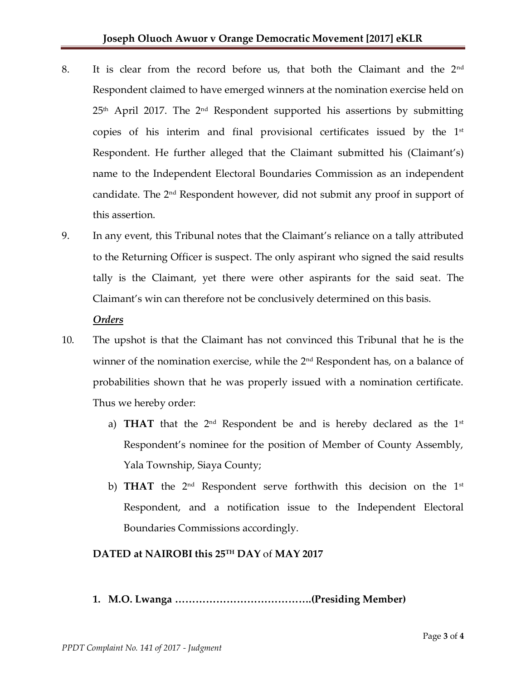- 8. It is clear from the record before us, that both the Claimant and the 2<sup>nd</sup> Respondent claimed to have emerged winners at the nomination exercise held on  $25<sup>th</sup>$  April 2017. The  $2<sup>nd</sup>$  Respondent supported his assertions by submitting copies of his interim and final provisional certificates issued by the 1st Respondent. He further alleged that the Claimant submitted his (Claimant's) name to the Independent Electoral Boundaries Commission as an independent candidate. The  $2<sup>nd</sup>$  Respondent however, did not submit any proof in support of this assertion.
- 9. In any event, this Tribunal notes that the Claimant's reliance on a tally attributed to the Returning Officer is suspect. The only aspirant who signed the said results tally is the Claimant, yet there were other aspirants for the said seat. The Claimant's win can therefore not be conclusively determined on this basis.

#### *Orders*

- 10. The upshot is that the Claimant has not convinced this Tribunal that he is the winner of the nomination exercise, while the 2<sup>nd</sup> Respondent has, on a balance of probabilities shown that he was properly issued with a nomination certificate. Thus we hereby order:
	- a) **THAT** that the  $2^{nd}$  Respondent be and is hereby declared as the  $1^{st}$ Respondent's nominee for the position of Member of County Assembly, Yala Township, Siaya County;
	- b) **THAT** the 2<sup>nd</sup> Respondent serve forthwith this decision on the 1<sup>st</sup> Respondent, and a notification issue to the Independent Electoral Boundaries Commissions accordingly.

#### **DATED at NAIROBI this 25TH DAY** of **MAY 2017**

**1. M.O. Lwanga ………………………………….(Presiding Member)**